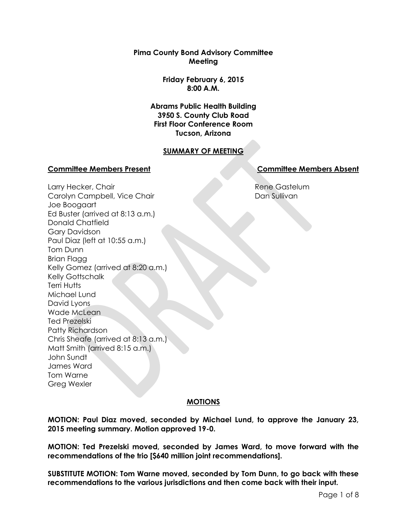**Pima County Bond Advisory Committee Meeting**

> **Friday February 6, 2015 8:00 A.M.**

**Abrams Public Health Building 3950 S. County Club Road First Floor Conference Room Tucson, Arizona**

# **SUMMARY OF MEETING**

## **Committee Members Present Committee Members Absent**

Rene Gastelum Dan Sullivan

Larry Hecker, Chair Carolyn Campbell, Vice Chair Joe Boogaart Ed Buster (arrived at 8:13 a.m.) Donald Chatfield Gary Davidson Paul Diaz (left at 10:55 a.m.) Tom Dunn Brian Flagg Kelly Gomez (arrived at 8:20 a.m.) Kelly Gottschalk Terri Hutts Michael Lund David Lyons Wade McLean Ted Prezelski Patty Richardson Chris Sheafe (arrived at 8:13 a.m.) Matt Smith (arrived 8:15 a.m.) John Sundt James Ward Tom Warne Greg Wexler

# **MOTIONS**

**MOTION: Paul Diaz moved, seconded by Michael Lund, to approve the January 23, 2015 meeting summary. Motion approved 19-0.**

**MOTION: Ted Prezelski moved, seconded by James Ward, to move forward with the recommendations of the trio [\$640 million joint recommendations].**

**SUBSTITUTE MOTION: Tom Warne moved, seconded by Tom Dunn, to go back with these recommendations to the various jurisdictions and then come back with their input.**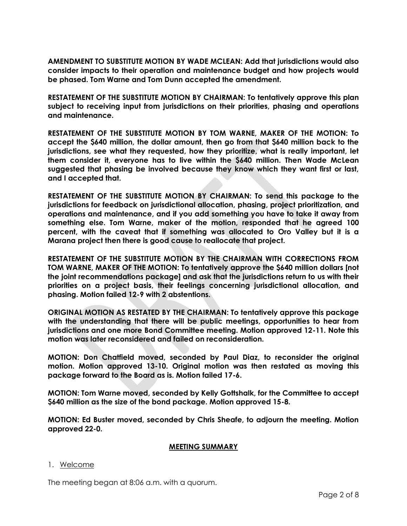**AMENDMENT TO SUBSTITUTE MOTION BY WADE MCLEAN: Add that jurisdictions would also consider impacts to their operation and maintenance budget and how projects would be phased. Tom Warne and Tom Dunn accepted the amendment.**

**RESTATEMENT OF THE SUBSTITUTE MOTION BY CHAIRMAN: To tentatively approve this plan subject to receiving input from jurisdictions on their priorities, phasing and operations and maintenance.** 

**RESTATEMENT OF THE SUBSTITUTE MOTION BY TOM WARNE, MAKER OF THE MOTION: To accept the \$640 million, the dollar amount, then go from that \$640 million back to the jurisdictions, see what they requested, how they prioritize, what is really important, let them consider it, everyone has to live within the \$640 million. Then Wade McLean suggested that phasing be involved because they know which they want first or last, and I accepted that.**

**RESTATEMENT OF THE SUBSTITUTE MOTION BY CHAIRMAN: To send this package to the jurisdictions for feedback on jurisdictional allocation, phasing, project prioritization, and operations and maintenance, and if you add something you have to take it away from something else. Tom Warne, maker of the motion, responded that he agreed 100 percent, with the caveat that if something was allocated to Oro Valley but it is a Marana project then there is good cause to reallocate that project.**

**RESTATEMENT OF THE SUBSTITUTE MOTION BY THE CHAIRMAN WITH CORRECTIONS FROM TOM WARNE, MAKER OF THE MOTION: To tentatively approve the \$640 million dollars [not the joint recommendations package] and ask that the jurisdictions return to us with their priorities on a project basis, their feelings concerning jurisdictional allocation, and phasing. Motion failed 12-9 with 2 abstentions.**

**ORIGINAL MOTION AS RESTATED BY THE CHAIRMAN: To tentatively approve this package with the understanding that there will be public meetings, opportunities to hear from jurisdictions and one more Bond Committee meeting. Motion approved 12-11. Note this motion was later reconsidered and failed on reconsideration.**

**MOTION: Don Chatfield moved, seconded by Paul Diaz, to reconsider the original motion. Motion approved 13-10. Original motion was then restated as moving this package forward to the Board as is. Motion failed 17-6.**

**MOTION: Tom Warne moved, seconded by Kelly Gottshalk, for the Committee to accept \$640 million as the size of the bond package. Motion approved 15-8.**

**MOTION: Ed Buster moved, seconded by Chris Sheafe, to adjourn the meeting. Motion approved 22-0.**

#### **MEETING SUMMARY**

#### 1. Welcome

The meeting began at 8:06 a.m. with a quorum.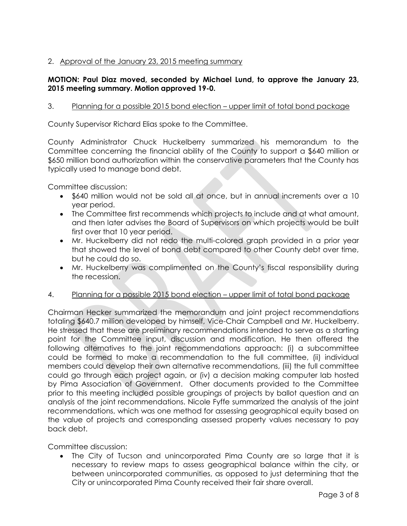# 2. Approval of the January 23, 2015 meeting summary

## **MOTION: Paul Diaz moved, seconded by Michael Lund, to approve the January 23, 2015 meeting summary. Motion approved 19-0.**

# 3. Planning for a possible 2015 bond election – upper limit of total bond package

County Supervisor Richard Elias spoke to the Committee.

County Administrator Chuck Huckelberry summarized his memorandum to the Committee concerning the financial ability of the County to support a \$640 million or \$650 million bond authorization within the conservative parameters that the County has typically used to manage bond debt.

Committee discussion:

- \$640 million would not be sold all at once, but in annual increments over a 10 year period.
- The Committee first recommends which projects to include and at what amount, and then later advises the Board of Supervisors on which projects would be built first over that 10 year period.
- Mr. Huckelberry did not redo the multi-colored graph provided in a prior year that showed the level of bond debt compared to other County debt over time, but he could do so.
- Mr. Huckelberry was complimented on the County's fiscal responsibility during the recession.
- 4. Planning for a possible 2015 bond election upper limit of total bond package

Chairman Hecker summarized the memorandum and joint project recommendations totaling \$640.7 million developed by himself, Vice-Chair Campbell and Mr. Huckelberry. He stressed that these are preliminary recommendations intended to serve as a starting point for the Committee input, discussion and modification. He then offered the following alternatives to the joint recommendations approach: (i) a subcommittee could be formed to make a recommendation to the full committee, (ii) individual members could develop their own alternative recommendations, (iii) the full committee could go through each project again, or (iv) a decision making computer lab hosted by Pima Association of Government. Other documents provided to the Committee prior to this meeting included possible groupings of projects by ballot question and an analysis of the joint recommendations. Nicole Fyffe summarized the analysis of the joint recommendations, which was one method for assessing geographical equity based on the value of projects and corresponding assessed property values necessary to pay back debt.

Committee discussion:

 The City of Tucson and unincorporated Pima County are so large that it is necessary to review maps to assess geographical balance within the city, or between unincorporated communities, as opposed to just determining that the City or unincorporated Pima County received their fair share overall.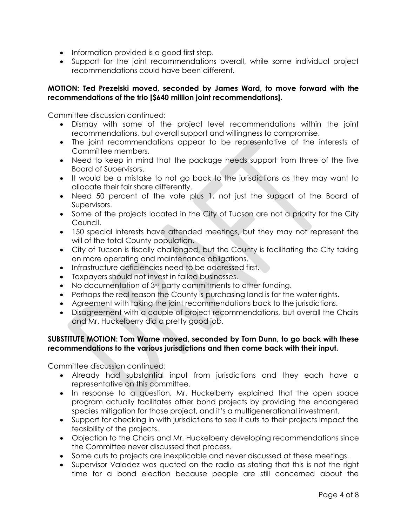- Information provided is a good first step.
- Support for the joint recommendations overall, while some individual project recommendations could have been different.

## **MOTION: Ted Prezelski moved, seconded by James Ward, to move forward with the recommendations of the trio [\$640 million joint recommendations].**

Committee discussion continued:

- Dismay with some of the project level recommendations within the joint recommendations, but overall support and willingness to compromise.
- The joint recommendations appear to be representative of the interests of Committee members.
- Need to keep in mind that the package needs support from three of the five Board of Supervisors.
- It would be a mistake to not go back to the jurisdictions as they may want to allocate their fair share differently.
- Need 50 percent of the vote plus 1, not just the support of the Board of Supervisors.
- Some of the projects located in the City of Tucson are not a priority for the City Council.
- 150 special interests have attended meetings, but they may not represent the will of the total County population.
- City of Tucson is fiscally challenged, but the County is facilitating the City taking on more operating and maintenance obligations.
- Infrastructure deficiencies need to be addressed first.
- Taxpayers should not invest in failed businesses.
- No documentation of 3<sup>rd</sup> party commitments to other funding.
- Perhaps the real reason the County is purchasing land is for the water rights.
- Agreement with taking the joint recommendations back to the jurisdictions.
- Disagreement with a couple of project recommendations, but overall the Chairs and Mr. Huckelberry did a pretty good job.

## **SUBSTITUTE MOTION: Tom Warne moved, seconded by Tom Dunn, to go back with these recommendations to the various jurisdictions and then come back with their input.**

Committee discussion continued:

- Already had substantial input from jurisdictions and they each have a representative on this committee.
- In response to a question, Mr. Huckelberry explained that the open space program actually facilitates other bond projects by providing the endangered species mitigation for those project, and it's a multigenerational investment.
- Support for checking in with jurisdictions to see if cuts to their projects impact the feasibility of the projects.
- Objection to the Chairs and Mr. Huckelberry developing recommendations since the Committee never discussed that process.
- Some cuts to projects are inexplicable and never discussed at these meetings.
- Supervisor Valadez was quoted on the radio as stating that this is not the right time for a bond election because people are still concerned about the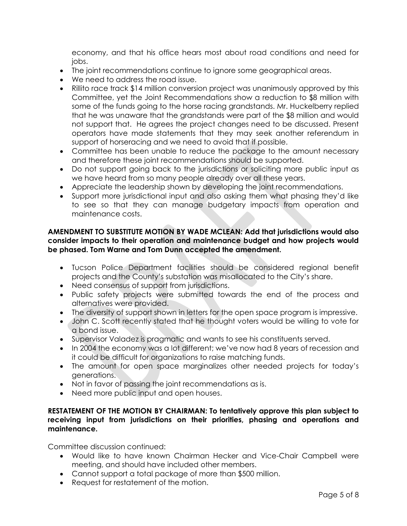economy, and that his office hears most about road conditions and need for jobs.

- The joint recommendations continue to ignore some geographical areas.
- We need to address the road issue.
- Rillito race track \$14 million conversion project was unanimously approved by this Committee, yet the Joint Recommendations show a reduction to \$8 million with some of the funds going to the horse racing grandstands. Mr. Huckelberry replied that he was unaware that the grandstands were part of the \$8 million and would not support that. He agrees the project changes need to be discussed. Present operators have made statements that they may seek another referendum in support of horseracing and we need to avoid that if possible.
- Committee has been unable to reduce the package to the amount necessary and therefore these joint recommendations should be supported.
- Do not support going back to the jurisdictions or soliciting more public input as we have heard from so many people already over all these years.
- Appreciate the leadership shown by developing the joint recommendations.
- Support more jurisdictional input and also asking them what phasing they'd like to see so that they can manage budgetary impacts from operation and maintenance costs.

## **AMENDMENT TO SUBSTITUTE MOTION BY WADE MCLEAN: Add that jurisdictions would also consider impacts to their operation and maintenance budget and how projects would be phased. Tom Warne and Tom Dunn accepted the amendment.**

- Tucson Police Department facilities should be considered regional benefit projects and the County's substation was misallocated to the City's share.
- Need consensus of support from jurisdictions.
- Public safety projects were submitted towards the end of the process and alternatives were provided.
- The diversity of support shown in letters for the open space program is impressive.
- John C. Scott recently stated that he thought voters would be willing to vote for a bond issue.
- Supervisor Valadez is pragmatic and wants to see his constituents served.
- In 2004 the economy was a lot different; we've now had 8 years of recession and it could be difficult for organizations to raise matching funds.
- The amount for open space marginalizes other needed projects for today's generations.
- Not in favor of passing the joint recommendations as is.
- Need more public input and open houses.

## **RESTATEMENT OF THE MOTION BY CHAIRMAN: To tentatively approve this plan subject to receiving input from jurisdictions on their priorities, phasing and operations and maintenance.**

Committee discussion continued:

- Would like to have known Chairman Hecker and Vice-Chair Campbell were meeting, and should have included other members.
- Cannot support a total package of more than \$500 million.
- Request for restatement of the motion.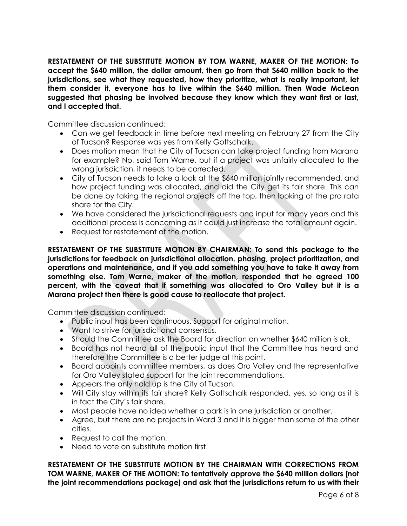**RESTATEMENT OF THE SUBSTITUTE MOTION BY TOM WARNE, MAKER OF THE MOTION: To accept the \$640 million, the dollar amount, then go from that \$640 million back to the jurisdictions, see what they requested, how they prioritize, what is really important, let them consider it, everyone has to live within the \$640 million. Then Wade McLean suggested that phasing be involved because they know which they want first or last, and I accepted that.** 

Committee discussion continued:

- Can we get feedback in time before next meeting on February 27 from the City of Tucson? Response was yes from Kelly Gottschalk.
- Does motion mean that he City of Tucson can take project funding from Marana for example? No, said Tom Warne, but if a project was unfairly allocated to the wrong jurisdiction, it needs to be corrected.
- City of Tucson needs to take a look at the \$640 million jointly recommended, and how project funding was allocated, and did the City get its fair share. This can be done by taking the regional projects off the top, then looking at the pro rata share for the City.
- We have considered the jurisdictional requests and input for many years and this additional process is concerning as it could just increase the total amount again.
- Request for restatement of the motion.

**RESTATEMENT OF THE SUBSTITUTE MOTION BY CHAIRMAN: To send this package to the jurisdictions for feedback on jurisdictional allocation, phasing, project prioritization, and operations and maintenance, and if you add something you have to take it away from something else. Tom Warne, maker of the motion, responded that he agreed 100 percent, with the caveat that if something was allocated to Oro Valley but it is a Marana project then there is good cause to reallocate that project.** 

Committee discussion continued:

- Public input has been continuous. Support for original motion.
- Want to strive for jurisdictional consensus.
- Should the Committee ask the Board for direction on whether \$640 million is ok.
- Board has not heard all of the public input that the Committee has heard and therefore the Committee is a better judge at this point.
- Board appoints committee members, as does Oro Valley and the representative for Oro Valley stated support for the joint recommendations.
- Appears the only hold up is the City of Tucson.
- Will City stay within its fair share? Kelly Gottschalk responded, yes, so long as it is in fact the City's fair share.
- Most people have no idea whether a park is in one jurisdiction or another.
- Agree, but there are no projects in Ward 3 and it is bigger than some of the other cities.
- Request to call the motion.
- Need to vote on substitute motion first

**RESTATEMENT OF THE SUBSTITUTE MOTION BY THE CHAIRMAN WITH CORRECTIONS FROM TOM WARNE, MAKER OF THE MOTION: To tentatively approve the \$640 million dollars [not the joint recommendations package] and ask that the jurisdictions return to us with their**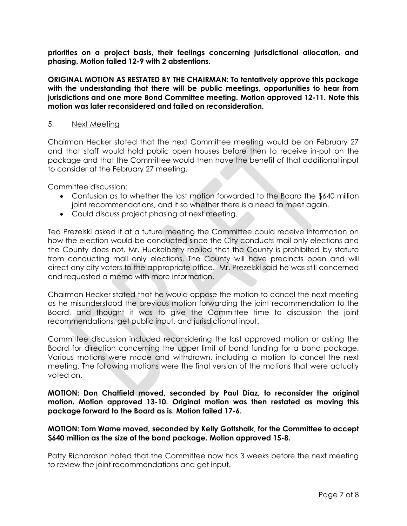**priorities on a project basis, their feelings concerning jurisdictional allocation, and phasing. Motion failed 12-9 with 2 abstentions.**

**ORIGINAL MOTION AS RESTATED BY THE CHAIRMAN: To tentatively approve this package with the understanding that there will be public meetings, opportunities to hear from jurisdictions and one more Bond Committee meeting. Motion approved 12-11. Note this motion was later reconsidered and failed on reconsideration.**

#### 5. Next Meeting

Chairman Hecker stated that the next Committee meeting would be on February 27 and that staff would hold public open houses before then to receive in-put on the package and that the Committee would then have the benefit of that additional input to consider at the February 27 meeting.

Committee discussion:

- Confusion as to whether the last motion forwarded to the Board the \$640 million joint recommendations, and if so whether there is a need to meet again.
- Could discuss project phasing at next meeting.

Ted Prezelski asked if at a future meeting the Committee could receive information on how the election would be conducted since the City conducts mail only elections and the County does not. Mr. Huckelberry replied that the County is prohibited by statute from conducting mail only elections. The County will have precincts open and will direct any city voters to the appropriate office. Mr. Prezelski said he was still concerned and requested a memo with more information.

Chairman Hecker stated that he would oppose the motion to cancel the next meeting as he misunderstood the previous motion forwarding the joint recommendation to the Board, and thought it was to give the Committee time to discussion the joint recommendations, get public input, and jurisdictional input.

Committee discussion included reconsidering the last approved motion or asking the Board for direction concerning the upper limit of bond funding for a bond package. Various motions were made and withdrawn, including a motion to cancel the next meeting. The following motions were the final version of the motions that were actually voted on.

**MOTION: Don Chatfield moved, seconded by Paul Diaz, to reconsider the original motion. Motion approved 13-10. Original motion was then restated as moving this package forward to the Board as is. Motion failed 17-6.**

#### **MOTION: Tom Warne moved, seconded by Kelly Gottshalk, for the Committee to accept \$640 million as the size of the bond package. Motion approved 15-8.**

Patty Richardson noted that the Committee now has 3 weeks before the next meeting to review the joint recommendations and get input.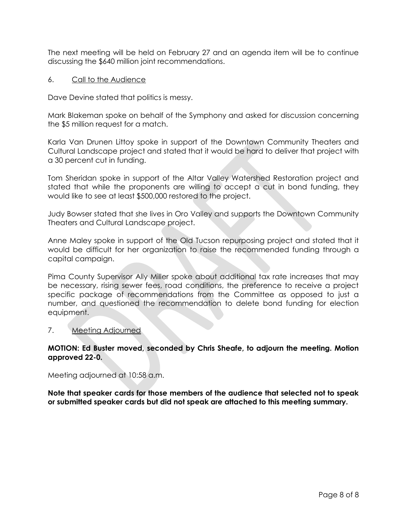The next meeting will be held on February 27 and an agenda item will be to continue discussing the \$640 million joint recommendations.

6. Call to the Audience

Dave Devine stated that politics is messy.

Mark Blakeman spoke on behalf of the Symphony and asked for discussion concerning the \$5 million request for a match.

Karla Van Drunen Littoy spoke in support of the Downtown Community Theaters and Cultural Landscape project and stated that it would be hard to deliver that project with a 30 percent cut in funding.

Tom Sheridan spoke in support of the Altar Valley Watershed Restoration project and stated that while the proponents are willing to accept a cut in bond funding, they would like to see at least \$500,000 restored to the project.

Judy Bowser stated that she lives in Oro Valley and supports the Downtown Community Theaters and Cultural Landscape project.

Anne Maley spoke in support of the Old Tucson repurposing project and stated that it would be difficult for her organization to raise the recommended funding through a capital campaign.

Pima County Supervisor Ally Miller spoke about additional tax rate increases that may be necessary, rising sewer fees, road conditions, the preference to receive a project specific package of recommendations from the Committee as opposed to just a number, and questioned the recommendation to delete bond funding for election equipment.

#### 7. Meeting Adjourned

## **MOTION: Ed Buster moved, seconded by Chris Sheafe, to adjourn the meeting. Motion approved 22-0.**

Meeting adjourned at 10:58 a.m.

**Note that speaker cards for those members of the audience that selected not to speak or submitted speaker cards but did not speak are attached to this meeting summary.**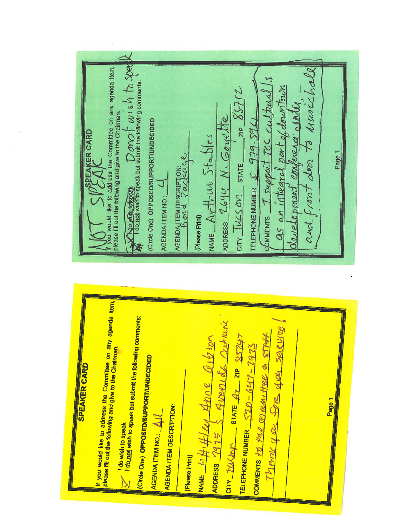$\frac{1}{M}$  Theo Missipping the speak but submit the following comments: If you would like to address the Committee on any agenda item, and front door to husichall as an integral part of downtown support TCC Cultural development conference conte  $2IP 85$ ADDRESS 2644 N. Gorrette (Circle One) OPPOSED/SUPPORT/UNDECIDED TELEPHONE NUMBER  $\mathscr{L}$   $979.5941$ **BEAKER CARD** NAME  $ArthwStables$  $CITV$   $\frac{1}{10}$   $M/100$   $STR$   $\frac{1}{100}$ Page 1 AGENDA ITEM DESCRIPTION: AGENDA ITEM NO.:  $\mathcal{L}$  omments (Please Print)

| COMMENTS to the go munitive a strofe<br>$\frac{1}{\sqrt{1}}\frac{1}{\sqrt{1}}\frac{1}{\sqrt{1}}\frac{1}{\sqrt{1}}$ state $\frac{1}{\sqrt{1}}$ and $\frac{1}{\sqrt{1}}\frac{1}{\sqrt{1}}$<br>TELEPHONE NUMBER $S\mathcal{ID} - \mathcal{Q} \mathcal{L} \mathcal{D} - \mathcal{Q} \mathcal{L} \mathcal{I} \mathcal{I} \mathcal{I}$<br>(Please Print) |
|----------------------------------------------------------------------------------------------------------------------------------------------------------------------------------------------------------------------------------------------------------------------------------------------------------------------------------------------------|
|----------------------------------------------------------------------------------------------------------------------------------------------------------------------------------------------------------------------------------------------------------------------------------------------------------------------------------------------------|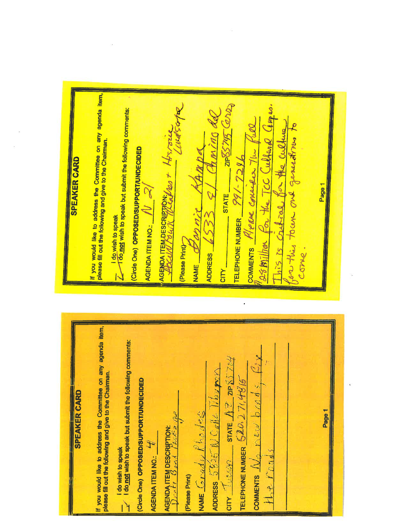If you would like to address the Committee on any agenda item, please fill out the following and give to the Chairman. 21P85745 (OV2) esmillion for the TCC Cullared amer.  $\frac{1}{2}$  do wish to speak<br> $\frac{1}{4}$  do not wish to speak but submit the following comments: Chiming da This is critical for the culture for this town one generatives to COMMENTS Were consider the full AGENDA ITEMPESCRIPTION: 100 + HT. / OLL (Circle One) OPPOSED/SUPPORT/UNDECIDED TELEPHONE NUMBER  $\frac{991-7296}{69}$ **SPEAKER CARD** Page 1  $5332$ AGENDA ITEM NO.:  $IV \propto$ **STATE** (Please Print) COMe. **ADDRESS NAME** CITY\_ If you would like to address the Committee on any agenda item, **1** do wish to speak<br> $\frac{1}{x}$  1 do not wish to speak but submit the following comments: **COMMENTS**  $\frac{\Lambda}{c}$  rew bonds  $\epsilon$  $\omega$ 0300 STATE  $A$  2 ZIP  $85.724$ please fill out the following and give to the Chairman. ADDRESS  $5825$  N  $C_d$ Ne Theory TELEPHONE NUMBER  $520.276486$ (Circle One) OPPOSED/SUPPORT/UNDECIDED **SPEAKER CARD** Page 1 NAME Grady  $k$  hodes **AGENDA ITEM DESCRIPTION:**<br>1) vatt Good AGENDA ITEM NO.: Crou (Please Print)  $H_{\alpha}$   $+$ 

CITY<sup>1</sup>